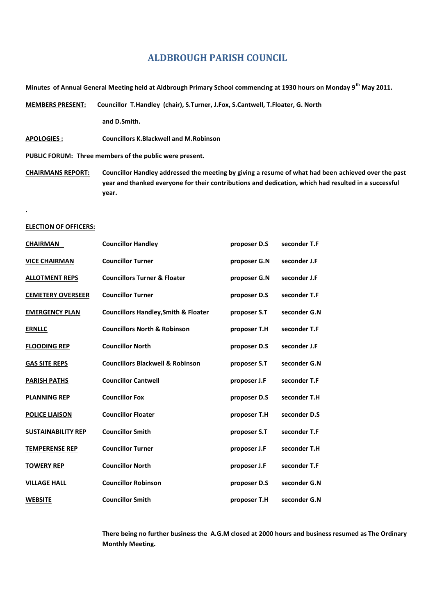# **ALDBROUGH PARISH COUNCIL**

**Minutes of Annual General Meeting held at Aldbrough Primary School commencing at 1930 hours on Monday 9th May 2011.**

**MEMBERS PRESENT: Councillor T.Handley (chair), S.Turner, J.Fox, S.Cantwell, T.Floater, G. North**

**and D.Smith.**

**APOLOGIES : Councillors K.Blackwell and M.Robinson**

**PUBLIC FORUM: Three members of the public were present.**

**CHAIRMANS REPORT: Councillor Handley addressed the meeting by giving a resume of what had been achieved over the past year and thanked everyone for their contributions and dedication, which had resulted in a successful year.**

## **.ELECTION OF OFFICERS:**

| <b>CHAIRMAN</b>           | <b>Councillor Handley</b>                       | proposer D.S | seconder T.F |
|---------------------------|-------------------------------------------------|--------------|--------------|
| <b>VICE CHAIRMAN</b>      | <b>Councillor Turner</b>                        | proposer G.N | seconder J.F |
| <b>ALLOTMENT REPS</b>     | <b>Councillors Turner &amp; Floater</b>         | proposer G.N | seconder J.F |
| <b>CEMETERY OVERSEER</b>  | <b>Councillor Turner</b>                        | proposer D.S | seconder T.F |
| <b>EMERGENCY PLAN</b>     | <b>Councillors Handley, Smith &amp; Floater</b> | proposer S.T | seconder G.N |
| <b>ERNLLC</b>             | <b>Councillors North &amp; Robinson</b>         | proposer T.H | seconder T.F |
| <b>FLOODING REP</b>       | <b>Councillor North</b>                         | proposer D.S | seconder J.F |
| <b>GAS SITE REPS</b>      | <b>Councillors Blackwell &amp; Robinson</b>     | proposer S.T | seconder G.N |
| <b>PARISH PATHS</b>       | <b>Councillor Cantwell</b>                      | proposer J.F | seconder T.F |
| <b>PLANNING REP</b>       | <b>Councillor Fox</b>                           | proposer D.S | seconder T.H |
| <b>POLICE LIAISON</b>     | <b>Councillor Floater</b>                       | proposer T.H | seconder D.S |
| <b>SUSTAINABILITY REP</b> | <b>Councillor Smith</b>                         | proposer S.T | seconder T.F |
| <b>TEMPERENSE REP</b>     | <b>Councillor Turner</b>                        | proposer J.F | seconder T.H |
| <b>TOWERY REP</b>         | <b>Councillor North</b>                         | proposer J.F | seconder T.F |
| <b>VILLAGE HALL</b>       | <b>Councillor Robinson</b>                      | proposer D.S | seconder G.N |
| <b>WEBSITE</b>            | <b>Councillor Smith</b>                         | proposer T.H | seconder G.N |

**There being no further business the A.G.M closed at 2000 hours and business resumed as The Ordinary Monthly Meeting.**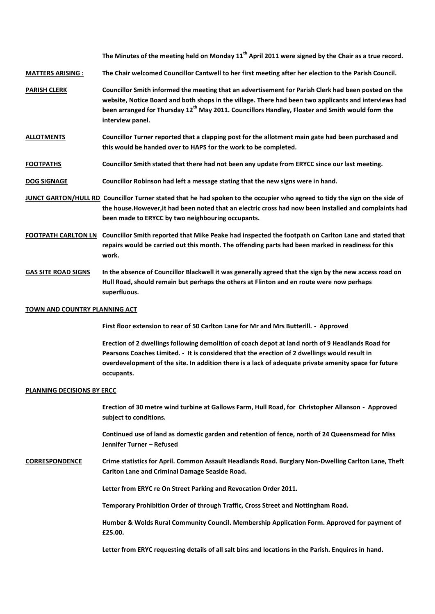**The Minutes of the meeting held on Monday 11th April 2011 were signed by the Chair as a true record.**

**MATTERS ARISING : The Chair welcomed Councillor Cantwell to her first meeting after her election to the Parish Council.**

- **PARISH CLERK Councillor Smith informed the meeting that an advertisement for Parish Clerk had been posted on the website, Notice Board and both shops in the village. There had been two applicants and interviews had been arranged for Thursday 12th May 2011. Councillors Handley, Floater and Smith would form the interview panel.**
- **ALLOTMENTS Councillor Turner reported that a clapping post for the allotment main gate had been purchased and this would be handed over to HAPS for the work to be completed.**
- **FOOTPATHS Councillor Smith stated that there had not been any update from ERYCC since our last meeting.**
- **DOG SIGNAGE Councillor Robinson had left a message stating that the new signs were in hand.**
- **JUNCT GARTON/HULL RD Councillor Turner stated that he had spoken to the occupier who agreed to tidy the sign on the side of the house.However,it had been noted that an electric cross had now been installed and complaints had been made to ERYCC by two neighbouring occupants.**
- **FOOTPATH CARLTON LN Councillor Smith reported that Mike Peake had inspected the footpath on Carlton Lane and stated that repairs would be carried out this month. The offending parts had been marked in readiness for this work.**
- **GAS SITE ROAD SIGNS In the absence of Councillor Blackwell it was generally agreed that the sign by the new access road on Hull Road, should remain but perhaps the others at Flinton and en route were now perhaps superfluous.**

## **TOWN AND COUNTRY PLANNING ACT**

**First floor extension to rear of 50 Carlton Lane for Mr and Mrs Butterill. - Approved**

**Erection of 2 dwellings following demolition of coach depot at land north of 9 Headlands Road for Pearsons Coaches Limited. - It is considered that the erection of 2 dwellings would result in overdevelopment of the site. In addition there is a lack of adequate private amenity space for future occupants.**

## **PLANNING DECISIONS BY ERCC**

**Erection of 30 metre wind turbine at Gallows Farm, Hull Road, for Christopher Allanson - Approved subject to conditions.**

**Continued use of land as domestic garden and retention of fence, north of 24 Queensmead for Miss Jennifer Turner – Refused**

**CORRESPONDENCE Crime statistics for April. Common Assault Headlands Road. Burglary Non-Dwelling Carlton Lane, Theft Carlton Lane and Criminal Damage Seaside Road.**

**Letter from ERYC re On Street Parking and Revocation Order 2011.**

**Temporary Prohibition Order of through Traffic, Cross Street and Nottingham Road.**

**Humber & Wolds Rural Community Council. Membership Application Form. Approved for payment of £25.00.**

**Letter from ERYC requesting details of all salt bins and locations in the Parish. Enquires in hand.**